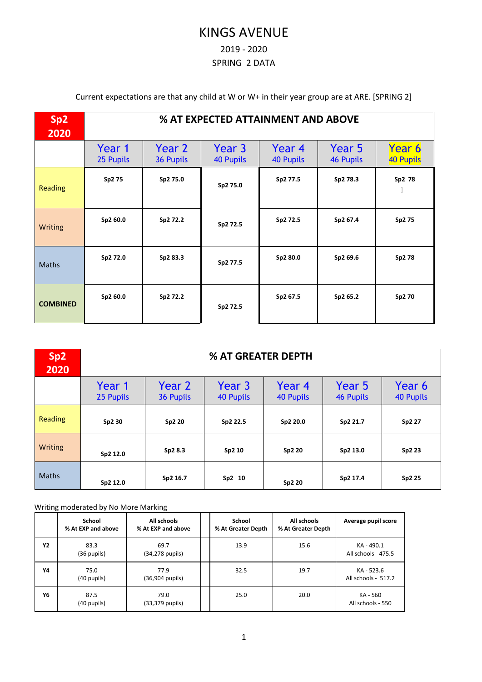# KINGS AVENUE

#### 2019 - 2020

#### SPRING 2 DATA

Current expectations are that any child at W or W+ in their year group are at ARE. [SPRING 2]

| Sp <sub>2</sub><br>2020 | % AT EXPECTED ATTAINMENT AND ABOVE |                     |                     |                            |                            |                     |  |  |  |  |  |
|-------------------------|------------------------------------|---------------------|---------------------|----------------------------|----------------------------|---------------------|--|--|--|--|--|
|                         | Year 1<br>25 Pupils                | Year 2<br>36 Pupils | Year 3<br>40 Pupils | Year 4<br><b>40 Pupils</b> | Year 5<br><b>46 Pupils</b> | Year 6<br>40 Pupils |  |  |  |  |  |
| <b>Reading</b>          | Sp2 75                             | Sp2 75.0            | Sp2 75.0            | Sp2 77.5                   | Sp2 78.3                   | Sp2 78              |  |  |  |  |  |
| Writing                 | Sp2 60.0                           | Sp2 72.2            | Sp2 72.5            | Sp2 72.5                   | Sp2 67.4                   | Sp2 75              |  |  |  |  |  |
| <b>Maths</b>            | Sp2 72.0                           | Sp2 83.3            | Sp2 77.5            | Sp2 80.0                   | Sp2 69.6                   | Sp2 78              |  |  |  |  |  |
| <b>COMBINED</b>         | Sp2 60.0                           | Sp2 72.2            | Sp2 72.5            | Sp2 67.5                   | Sp2 65.2                   | Sp2 70              |  |  |  |  |  |

| Sp2<br>2020  | <b>% AT GREATER DEPTH</b> |                     |                            |                            |                            |                            |  |  |  |  |  |
|--------------|---------------------------|---------------------|----------------------------|----------------------------|----------------------------|----------------------------|--|--|--|--|--|
|              | Year 1<br>25 Pupils       | Year 2<br>36 Pupils | Year 3<br><b>40 Pupils</b> | Year 4<br><b>40 Pupils</b> | Year 5<br><b>46 Pupils</b> | Year 6<br><b>40 Pupils</b> |  |  |  |  |  |
| Reading      | Sp2 30                    | Sp2 20              | Sp2 22.5                   | Sp2 20.0                   | Sp2 21.7                   | Sp2 27                     |  |  |  |  |  |
| Writing      | Sp2 12.0                  | Sp2 8.3             | Sp2 10                     | Sp2 20                     | Sp2 13.0                   | Sp2 23                     |  |  |  |  |  |
| <b>Maths</b> | Sp2 12.0                  | Sp2 16.7            | Sp2 10                     | Sp2 20                     | Sp2 17.4                   | Sp2 25                     |  |  |  |  |  |

#### Writing moderated by No More Marking

|           | School<br>% At EXP and above | All schools<br>% At EXP and above | School<br>% At Greater Depth | All schools<br>% At Greater Depth | Average pupil score               |
|-----------|------------------------------|-----------------------------------|------------------------------|-----------------------------------|-----------------------------------|
| <b>Y2</b> | 83.3<br>(36 pupils)          | 69.7<br>(34,278 pupils)           | 13.9                         | 15.6                              | KA-490.1<br>All schools - 475.5   |
| Υ4        | 75.0<br>(40 pupils)          | 77.9<br>(36,904 pupils)           | 32.5                         | 19.7                              | KA - 523.6<br>All schools - 517.2 |
| Υ6        | 87.5<br>(40 pupils)          | 79.0<br>(33,379 pupils)           | 25.0                         | 20.0                              | KA - 560<br>All schools - 550     |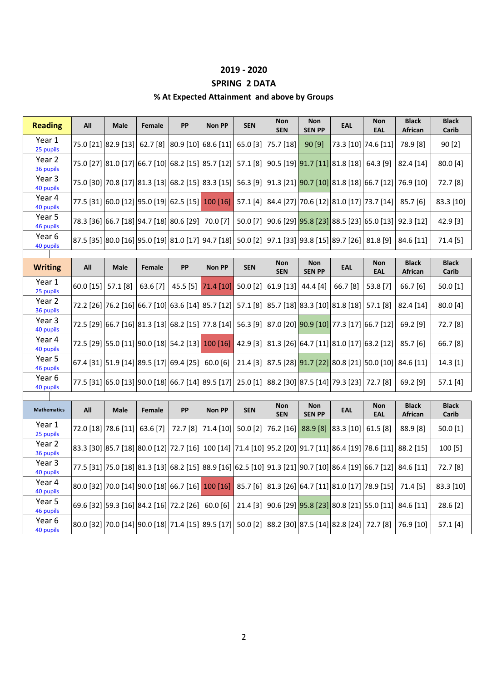#### **2019 - 2020**

## **SPRING 2 DATA**

### **% At Expected Attainment and above by Groups**

| <b>Reading</b>      | All                | Male                                             | Female   | PP       | <b>Non PP</b>                                                                                                            | <b>SEN</b> | <b>Non</b><br><b>SEN</b> | <b>Non</b><br><b>SEN PP</b>                                       | EAL                  | <b>Non</b><br><b>EAL</b> | <b>Black</b><br>African        | <b>Black</b><br>Carib |
|---------------------|--------------------|--------------------------------------------------|----------|----------|--------------------------------------------------------------------------------------------------------------------------|------------|--------------------------|-------------------------------------------------------------------|----------------------|--------------------------|--------------------------------|-----------------------|
| Year 1<br>25 pupils |                    | 75.0 [21] 82.9 [13]                              | 62.7[8]  |          | 80.9 [10] 68.6 [11]                                                                                                      | $65.0$ [3] | 75.7 [18]                | 90[9]                                                             | 73.3 [10] 74.6 [11]  |                          | 78.9 [8]                       | 90[2]                 |
| Year 2<br>36 pupils |                    |                                                  |          |          | 75.0 [27] 81.0 [17] 66.7 [10] 68.2 [15] 85.7 [12] 57.1 [8]                                                               |            |                          | 90.5 [19] 91.7 [11] 81.8 [18] 64.3 [9]                            |                      |                          | 82.4 [14]                      | 80.0 [4]              |
| Year 3<br>40 pupils |                    |                                                  |          |          | 75.0 [30] 70.8 [17] 81.3 [13] 68.2 [15] 83.3 [15] 56.3 [9]                                                               |            |                          | $\vert$ 91.3 [21] $\vert$ 90.7 [10] 81.8 [18] 66.7 [12] 76.9 [10] |                      |                          |                                | 72.7 [8]              |
| Year 4<br>40 pupils |                    |                                                  |          |          | 77.5 [31] 60.0 [12] 95.0 [19] 62.5 [15] 100 [16]                                                                         | 57.1[4]    |                          | 84.4 [27] 70.6 [12] 81.0 [17] 73.7 [14] 85.7 [6]                  |                      |                          |                                | 83.3 [10]             |
| Year 5<br>46 pupils |                    | 78.3 [36] 66.7 [18] 94.7 [18] 80.6 [29] 70.0 [7] |          |          |                                                                                                                          | 50.0 $[7]$ |                          | 90.6 [29] <mark>95.8 [23]</mark> 88.5 [23] 65.0 [13] 92.3 [12]    |                      |                          |                                | 42.9 [3]              |
| Year 6<br>40 pupils |                    |                                                  |          |          | 87.5 [35]  80.0 [16]  95.0 [19]  81.0 [17]  94.7 [18]   50.0 [2]                                                         |            |                          | $ 97.1$ [33] $ 93.8$ [15] 89.7 [26] 81.8 [9]                      |                      |                          | 84.6 [11]                      | 71.4 [5]              |
|                     |                    |                                                  |          |          |                                                                                                                          |            |                          |                                                                   |                      |                          |                                |                       |
| <b>Writing</b>      | All                | <b>Male</b>                                      | Female   | PP       | <b>Non PP</b>                                                                                                            | <b>SEN</b> | <b>Non</b><br><b>SEN</b> | <b>Non</b><br><b>SEN PP</b>                                       | <b>EAL</b>           | <b>Non</b><br><b>EAL</b> | <b>Black</b><br>African        | <b>Black</b><br>Carib |
| Year 1<br>25 pupils | 60.0 [15] 57.1 [8] |                                                  | 63.6 [7] | 45.5 [5] | 71.4 [10]                                                                                                                | $50.0$ [2] | $61.9$ [13]              | 44.4 [4]                                                          | 66.7 [8]             | 53.8 [7]                 | 66.7 [6]                       | $50.0$ [1]            |
| Year 2<br>36 pupils |                    |                                                  |          |          | 72.2 [26] 76.2 [16] 66.7 [10] 63.6 [14] 85.7 [12] 57.1 [8]                                                               |            |                          | 85.7 [18] 83.3 [10] 81.8 [18] 57.1 [8]                            |                      |                          | 82.4 [14]                      | 80.0 [4]              |
| Year 3<br>40 pupils |                    |                                                  |          |          | 72.5 [29] 66.7 [16] 81.3 [13] 68.2 [15] 77.8 [14] 56.3 [9]                                                               |            |                          | 87.0 [20] <mark> 90.9 [10] </mark>  77.3 [17] 66.7 [12]           |                      |                          | $69.2$ [9]                     | 72.7 [8]              |
| Year 4<br>40 pupils |                    |                                                  |          |          | 72.5 [29] 55.0 [11] 90.0 [18] 54.2 [13] 100 [16]                                                                         | 42.9 [3]   |                          | 81.3 [26] 64.7 [11] 81.0 [17] 63.2 [12]                           |                      |                          | 85.7 [6]                       | 66.7 [8]              |
| Year 5<br>46 pupils |                    |                                                  |          |          | 67.4 [31]  51.9 [14]  89.5 [17]  69.4 [25]   60.0 [6]                                                                    | 21.4 [3]   |                          | 87.5 [28] 91.7 [22] 80.8 [21] 50.0 [10] 84.6 [11]                 |                      |                          |                                | 14.3 [1]              |
| Year 6<br>40 pupils |                    |                                                  |          |          | 77.5 [31] 65.0 [13] 90.0 [18] 66.7 [14] 89.5 [17] 25.0 [1] 88.2 [30] 87.5 [14] 79.3 [23] 72.7 [8]                        |            |                          |                                                                   |                      |                          | $69.2$ [9]                     | 57.1 [4]              |
|                     |                    |                                                  |          |          |                                                                                                                          |            |                          |                                                                   |                      |                          |                                |                       |
| <b>Mathematics</b>  | All                | <b>Male</b>                                      | Female   | PP       | <b>Non PP</b>                                                                                                            | <b>SEN</b> | <b>Non</b><br><b>SEN</b> | <b>Non</b><br><b>SEN PP</b>                                       | <b>EAL</b>           | <b>Non</b><br><b>EAL</b> | <b>Black</b><br><b>African</b> | <b>Black</b><br>Carib |
| Year 1<br>25 pupils |                    | 72.0 [18] 78.6 [11] 63.6 [7]                     |          |          | 72.7 [8] 71.4 [10] 50.0 [2]                                                                                              |            | 76.2 [16] 88.9 [8]       |                                                                   | $ 83.3 10 $ 61.5 [8] |                          | 88.9 [8]                       | 50.0 [1]              |
| Year 2<br>36 pupils |                    |                                                  |          |          | 83.3 [30] 85.7 [18] 80.0 [12] 72.7 [16] 100 [14] 71.4 [10] 95.2 [20] 91.7 [11] 86.4 [19] 78.6 [11] 88.2 [15]             |            |                          |                                                                   |                      |                          |                                | 100 [5]               |
| Year 3<br>40 pupils |                    |                                                  |          |          | 77.5 [31]  75.0 [18]  81.3 [13]  68.2 [15]  88.9 [16]  62.5 [10]  91.3 [21]  90.7 [10]  86.4 [19]  66.7 [12]   84.6 [11] |            |                          |                                                                   |                      |                          |                                | 72.7 [8]              |
| Year 4<br>40 pupils |                    |                                                  |          |          | 80.0 [32]  70.0 [14]  90.0 [18]  66.7 [16]   100 [16]   85.7 [6]  81.3 [26]  64.7 [11]  81.0 [17]  78.9 [15]             |            |                          |                                                                   |                      |                          | 71.4 [5]                       | 83.3 [10]             |
| Year 5<br>46 pupils |                    | 69.6 [32] 59.3 [16] 84.2 [16] 72.2 [26] 60.0 [6] |          |          |                                                                                                                          | 21.4 [3]   |                          | 90.6 [29] 95.8 [23] 80.8 [21] 55.0 [11] 84.6 [11]                 |                      |                          |                                | 28.6 [2]              |
| Year 6<br>40 pupils |                    |                                                  |          |          | 80.0 [32]  70.0 [14]  90.0 [18]  71.4 [15]  89.5 [17]   50.0 [2]   88.2 [30]  87.5 [14]  82.8 [24]   72.7 [8]            |            |                          |                                                                   |                      |                          | 76.9 [10]                      | 57.1 [4]              |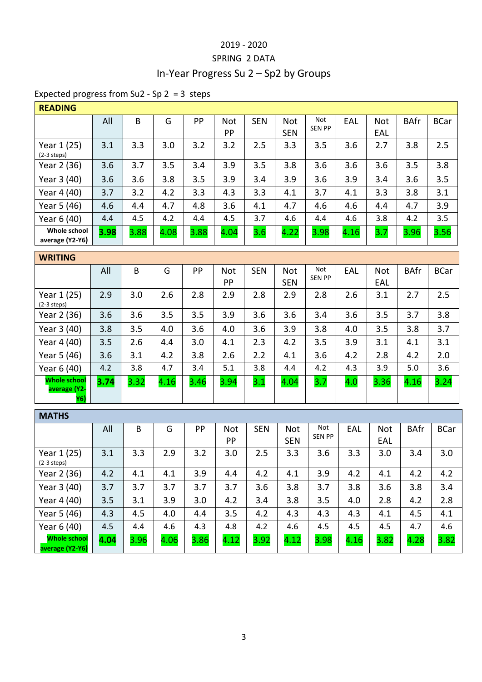## 2019 - 2020 SPRING 2 DATA In-Year Progress Su 2 – Sp2 by Groups

## Expected progress from Su2 - Sp 2 = 3 steps

| <b>READING</b>                  |      |      |      |      |            |            |            |               |      |            |             |             |
|---------------------------------|------|------|------|------|------------|------------|------------|---------------|------|------------|-------------|-------------|
|                                 | All  | B    | G    | PP   | <b>Not</b> | <b>SEN</b> | <b>Not</b> | Not           | EAL  | <b>Not</b> | <b>BAfr</b> | <b>BCar</b> |
|                                 |      |      |      |      | PP         |            | <b>SEN</b> | <b>SEN PP</b> |      | EAL        |             |             |
| Year 1 (25)<br>$(2-3$ steps)    | 3.1  | 3.3  | 3.0  | 3.2  | 3.2        | 2.5        | 3.3        | 3.5           | 3.6  | 2.7        | 3.8         | 2.5         |
| Year 2 (36)                     | 3.6  | 3.7  | 3.5  | 3.4  | 3.9        | 3.5        | 3.8        | 3.6           | 3.6  | 3.6        | 3.5         | 3.8         |
| Year 3 (40)                     | 3.6  | 3.6  | 3.8  | 3.5  | 3.9        | 3.4        | 3.9        | 3.6           | 3.9  | 3.4        | 3.6         | 3.5         |
| Year 4 (40)                     | 3.7  | 3.2  | 4.2  | 3.3  | 4.3        | 3.3        | 4.1        | 3.7           | 4.1  | 3.3        | 3.8         | 3.1         |
| Year 5 (46)                     | 4.6  | 4.4  | 4.7  | 4.8  | 3.6        | 4.1        | 4.7        | 4.6           | 4.6  | 4.4        | 4.7         | 3.9         |
| Year 6 (40)                     | 4.4  | 4.5  | 4.2  | 4.4  | 4.5        | 3.7        | 4.6        | 4.4           | 4.6  | 3.8        | 4.2         | 3.5         |
| Whole school<br>average (Y2-Y6) | 3.98 | 3.88 | 4.08 | 3.88 | 4.04       | 3.6        | 4.22       | 3.98          | 4.16 | 3.7        | 3.96        | 3.56        |

| <b>WRITING</b>                             |      |      |      |      |            |            |            |               |     |            |             |             |
|--------------------------------------------|------|------|------|------|------------|------------|------------|---------------|-----|------------|-------------|-------------|
|                                            | All  | B    | G    | PP   | <b>Not</b> | <b>SEN</b> | <b>Not</b> | Not           | EAL | <b>Not</b> | <b>BAfr</b> | <b>BCar</b> |
|                                            |      |      |      |      | PP         |            | <b>SEN</b> | <b>SEN PP</b> |     | EAL        |             |             |
| Year 1 (25)<br>$(2-3$ steps)               | 2.9  | 3.0  | 2.6  | 2.8  | 2.9        | 2.8        | 2.9        | 2.8           | 2.6 | 3.1        | 2.7         | 2.5         |
| Year 2 (36)                                | 3.6  | 3.6  | 3.5  | 3.5  | 3.9        | 3.6        | 3.6        | 3.4           | 3.6 | 3.5        | 3.7         | 3.8         |
| Year 3 (40)                                | 3.8  | 3.5  | 4.0  | 3.6  | 4.0        | 3.6        | 3.9        | 3.8           | 4.0 | 3.5        | 3.8         | 3.7         |
| Year 4 (40)                                | 3.5  | 2.6  | 4.4  | 3.0  | 4.1        | 2.3        | 4.2        | 3.5           | 3.9 | 3.1        | 4.1         | 3.1         |
| Year 5 (46)                                | 3.6  | 3.1  | 4.2  | 3.8  | 2.6        | 2.2        | 4.1        | 3.6           | 4.2 | 2.8        | 4.2         | 2.0         |
| Year 6 (40)                                | 4.2  | 3.8  | 4.7  | 3.4  | 5.1        | 3.8        | 4.4        | 4.2           | 4.3 | 3.9        | 5.0         | 3.6         |
| <b>Whole school</b><br>average (Y2-<br>Y6) | 3.74 | 3.32 | 4.16 | 3.46 | 3.94       | 3.1        | 4.04       | 3.7           | 4.0 | 3.36       | 4.16        | 3.24        |

| <b>MATHS</b>                           |      |      |      |      |            |            |            |               |      |            |             |             |
|----------------------------------------|------|------|------|------|------------|------------|------------|---------------|------|------------|-------------|-------------|
|                                        | All  | B    | G    | PP   | <b>Not</b> | <b>SEN</b> | <b>Not</b> | Not           | EAL  | <b>Not</b> | <b>BAfr</b> | <b>BCar</b> |
|                                        |      |      |      |      | PP         |            | <b>SEN</b> | <b>SEN PP</b> |      | EAL        |             |             |
| Year 1 (25)<br>$(2-3$ steps)           | 3.1  | 3.3  | 2.9  | 3.2  | 3.0        | 2.5        | 3.3        | 3.6           | 3.3  | 3.0        | 3.4         | 3.0         |
| Year 2 (36)                            | 4.2  | 4.1  | 4.1  | 3.9  | 4.4        | 4.2        | 4.1        | 3.9           | 4.2  | 4.1        | 4.2         | 4.2         |
| Year 3 (40)                            | 3.7  | 3.7  | 3.7  | 3.7  | 3.7        | 3.6        | 3.8        | 3.7           | 3.8  | 3.6        | 3.8         | 3.4         |
| Year 4 (40)                            | 3.5  | 3.1  | 3.9  | 3.0  | 4.2        | 3.4        | 3.8        | 3.5           | 4.0  | 2.8        | 4.2         | 2.8         |
| Year 5 (46)                            | 4.3  | 4.5  | 4.0  | 4.4  | 3.5        | 4.2        | 4.3        | 4.3           | 4.3  | 4.1        | 4.5         | 4.1         |
| Year 6 (40)                            | 4.5  | 4.4  | 4.6  | 4.3  | 4.8        | 4.2        | 4.6        | 4.5           | 4.5  | 4.5        | 4.7         | 4.6         |
| <b>Whole school</b><br>average (Y2-Y6) | 4.04 | 3.96 | 4.06 | 3.86 | 4.12       | 3.92       | 4.12       | 3.98          | 4.16 | 3.82       | 4.28        | 3.82        |